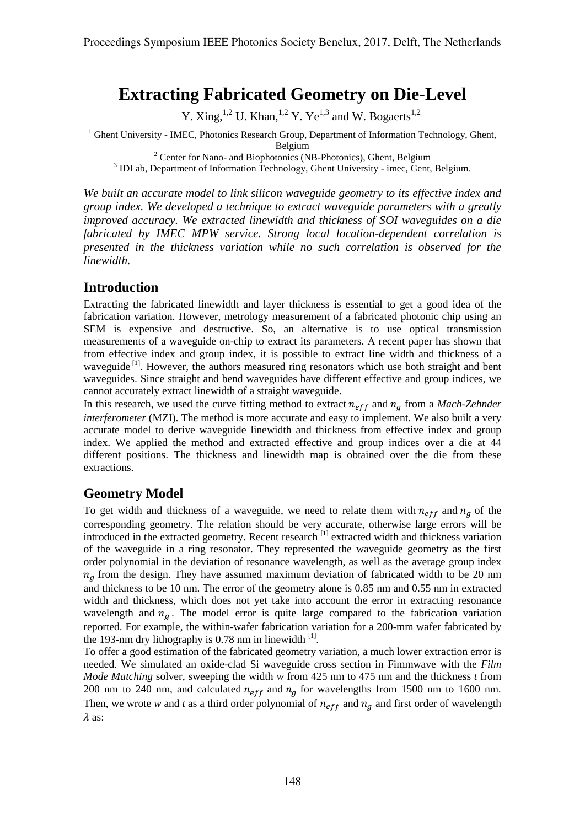# **Extracting Fabricated Geometry on Die-Level**

Y. Xing,<sup>1,2</sup> U. Khan,<sup>1,2</sup> Y. Ye<sup>1,3</sup> and W. Bogaerts<sup>1,2</sup>

<sup>1</sup> Ghent University - IMEC, Photonics Research Group, Department of Information Technology, Ghent,

Belgium<br><sup>2</sup> Center for Nano- and Biophotonics (NB-Photonics), Ghent, Belgium 3<br><sup>3</sup> IDLab, Department of Information Technology, Ghent University - imec, Gent, Belgium.

*We built an accurate model to link silicon waveguide geometry to its effective index and group index. We developed a technique to extract waveguide parameters with a greatly improved accuracy. We extracted linewidth and thickness of SOI waveguides on a die fabricated by IMEC MPW service. Strong local location-dependent correlation is presented in the thickness variation while no such correlation is observed for the linewidth.* 

### **Introduction**

Extracting the fabricated linewidth and layer thickness is essential to get a good idea of the fabrication variation. However, metrology measurement of a fabricated photonic chip using an SEM is expensive and destructive. So, an alternative is to use optical transmission measurements of a waveguide on-chip to extract its parameters. A recent paper has shown that from effective index and group index, it is possible to extract line width and thickness of a waveguide<sup>[1]</sup>. However, the authors measured ring resonators which use both straight and bent waveguides. Since straight and bend waveguides have different effective and group indices, we cannot accurately extract linewidth of a straight waveguide.

In this research, we used the curve fitting method to extract  $n_{eff}$  and  $n_g$  from a *Mach-Zehnder interferometer* (MZI). The method is more accurate and easy to implement. We also built a very accurate model to derive waveguide linewidth and thickness from effective index and group index. We applied the method and extracted effective and group indices over a die at 44 different positions. The thickness and linewidth map is obtained over the die from these extractions.

## **Geometry Model**

To get width and thickness of a waveguide, we need to relate them with  $n_{eff}$  and  $n_g$  of the corresponding geometry. The relation should be very accurate, otherwise large errors will be introduced in the extracted geometry. Recent research [1] extracted width and thickness variation of the waveguide in a ring resonator. They represented the waveguide geometry as the first order polynomial in the deviation of resonance wavelength, as well as the average group index  $n_a$  from the design. They have assumed maximum deviation of fabricated width to be 20 nm and thickness to be 10 nm. The error of the geometry alone is 0.85 nm and 0.55 nm in extracted width and thickness, which does not yet take into account the error in extracting resonance wavelength and  $n<sub>g</sub>$ . The model error is quite large compared to the fabrication variation reported. For example, the within-wafer fabrication variation for a 200-mm wafer fabricated by the 193-nm dry lithography is 0.78 nm in linewidth  $^{[1]}$ .

To offer a good estimation of the fabricated geometry variation, a much lower extraction error is needed. We simulated an oxide-clad Si waveguide cross section in Fimmwave with the *Film Mode Matching* solver, sweeping the width *w* from 425 nm to 475 nm and the thickness *t* from 200 nm to 240 nm, and calculated  $n_{eff}$  and  $n_q$  for wavelengths from 1500 nm to 1600 nm. Then, we wrote *w* and *t* as a third order polynomial of  $n_{eff}$  and  $n_a$  and first order of wavelength  $\lambda$  as: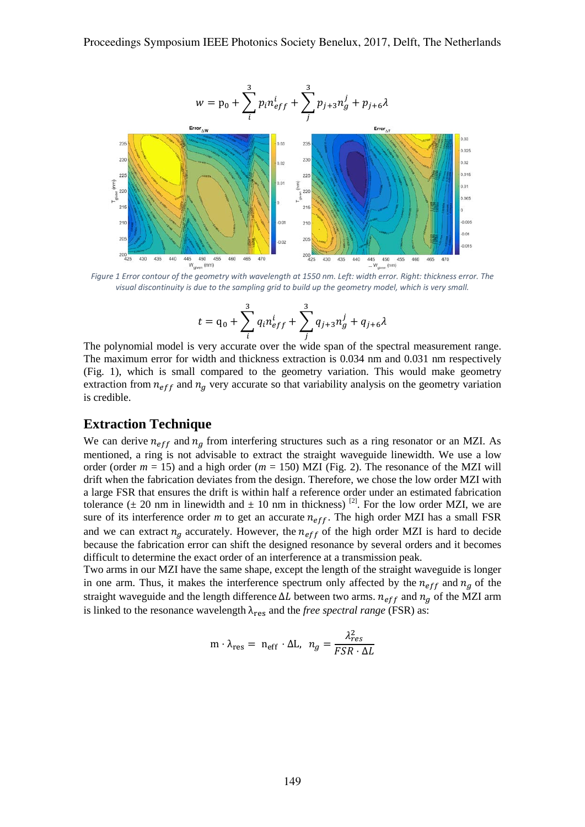

*visual discontinuity is due to the sampling grid to build up the geometry model, which is very small.*

$$
t = q_0 + \sum_{i=1}^{3} q_i n_{eff}^{i} + \sum_{j=1}^{3} q_{j+3} n_g^{j} + q_{j+6} \lambda
$$

The polynomial model is very accurate over the wide span of the spectral measurement range. The maximum error for width and thickness extraction is 0.034 nm and 0.031 nm respectively (Fig. 1), which is small compared to the geometry variation. This would make geometry extraction from  $n_{eff}$  and  $n_a$  very accurate so that variability analysis on the geometry variation is credible.

### **Extraction Technique**

We can derive  $n_{eff}$  and  $n_q$  from interfering structures such as a ring resonator or an MZI. As mentioned, a ring is not advisable to extract the straight waveguide linewidth. We use a low order (order  $m = 15$ ) and a high order ( $m = 150$ ) MZI (Fig. 2). The resonance of the MZI will drift when the fabrication deviates from the design. Therefore, we chose the low order MZI with a large FSR that ensures the drift is within half a reference order under an estimated fabrication tolerance ( $\pm$  20 nm in linewidth and  $\pm$  10 nm in thickness) <sup>[2]</sup>. For the low order MZI, we are sure of its interference order  $m$  to get an accurate  $n_{eff}$ . The high order MZI has a small FSR and we can extract  $n_q$  accurately. However, the  $n_{eff}$  of the high order MZI is hard to decide because the fabrication error can shift the designed resonance by several orders and it becomes difficult to determine the exact order of an interference at a transmission peak.

Two arms in our MZI have the same shape, except the length of the straight waveguide is longer in one arm. Thus, it makes the interference spectrum only affected by the  $n_{eff}$  and  $n_q$  of the straight waveguide and the length difference  $\Delta L$  between two arms.  $n_{eff}$  and  $n_q$  of the MZI arm is linked to the resonance wavelength  $\lambda_{res}$  and the *free spectral range* (FSR) as:

$$
\mathbf{m} \cdot \lambda_{\text{res}} = \mathbf{n}_{\text{eff}} \cdot \Delta \mathbf{L}, \ \ n_g = \frac{\lambda_{res}^2}{FSR \cdot \Delta L}
$$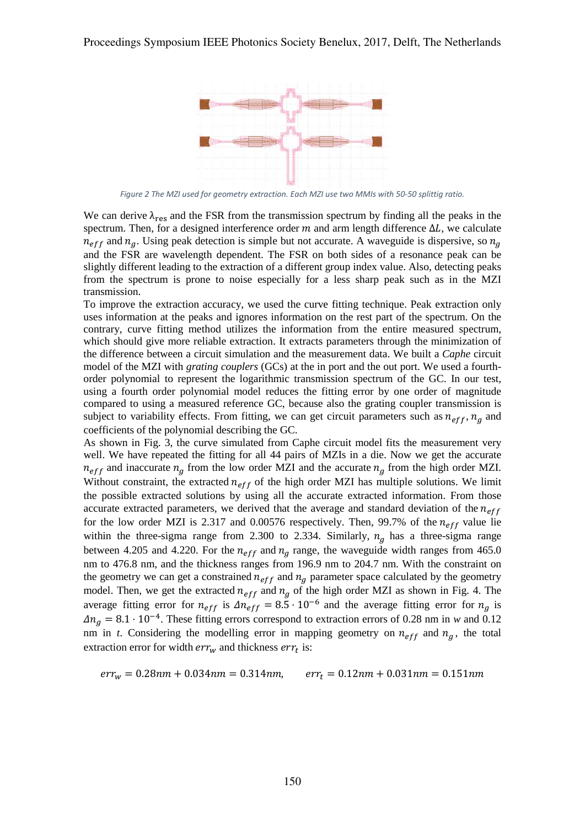

*Figure 2 The MZI used for geometry extraction. Each MZI use two MMIs with 50-50 splittig ratio.*

We can derive  $\lambda_{res}$  and the FSR from the transmission spectrum by finding all the peaks in the spectrum. Then, for a designed interference order  $m$  and arm length difference  $\Delta L$ , we calculate  $n_{eff}$  and  $n_q$ . Using peak detection is simple but not accurate. A waveguide is dispersive, so  $n_q$ and the FSR are wavelength dependent. The FSR on both sides of a resonance peak can be slightly different leading to the extraction of a different group index value. Also, detecting peaks from the spectrum is prone to noise especially for a less sharp peak such as in the MZI transmission.

To improve the extraction accuracy, we used the curve fitting technique. Peak extraction only uses information at the peaks and ignores information on the rest part of the spectrum. On the contrary, curve fitting method utilizes the information from the entire measured spectrum, which should give more reliable extraction. It extracts parameters through the minimization of the difference between a circuit simulation and the measurement data. We built a *Caphe* circuit model of the MZI with *grating couplers* (GCs) at the in port and the out port. We used a fourthorder polynomial to represent the logarithmic transmission spectrum of the GC. In our test, using a fourth order polynomial model reduces the fitting error by one order of magnitude compared to using a measured reference GC, because also the grating coupler transmission is subject to variability effects. From fitting, we can get circuit parameters such as  $n_{eff}$ ,  $n_a$  and coefficients of the polynomial describing the GC.

As shown in Fig. 3, the curve simulated from Caphe circuit model fits the measurement very well. We have repeated the fitting for all 44 pairs of MZIs in a die. Now we get the accurate  $n_{eff}$  and inaccurate  $n_q$  from the low order MZI and the accurate  $n_q$  from the high order MZI. Without constraint, the extracted  $n_{eff}$  of the high order MZI has multiple solutions. We limit the possible extracted solutions by using all the accurate extracted information. From those accurate extracted parameters, we derived that the average and standard deviation of the  $n_{eff}$ for the low order MZI is 2.317 and 0.00576 respectively. Then, 99.7% of the  $n_{eff}$  value lie within the three-sigma range from 2.300 to 2.334. Similarly,  $n_q$  has a three-sigma range between 4.205 and 4.220. For the  $n_{eff}$  and  $n_g$  range, the waveguide width ranges from 465.0 nm to 476.8 nm, and the thickness ranges from 196.9 nm to 204.7 nm. With the constraint on the geometry we can get a constrained  $n_{eff}$  and  $n_q$  parameter space calculated by the geometry model. Then, we get the extracted  $n_{eff}$  and  $n_q$  of the high order MZI as shown in Fig. 4. The average fitting error for  $n_{eff}$  is  $\Delta n_{eff} = 8.5 \cdot 10^{-6}$  and the average fitting error for  $n_g$  is  $\Delta n_q = 8.1 \cdot 10^{-4}$ . These fitting errors correspond to extraction errors of 0.28 nm in *w* and 0.12 nm in *t*. Considering the modelling error in mapping geometry on  $n_{eff}$  and  $n_g$ , the total extraction error for width  $err_w$  and thickness  $err_t$  is:

 $err_w = 0.28$ nm + 0.034nm = 0.314nm,  $err_t = 0.12$ nm + 0.031nm = 0.151nm